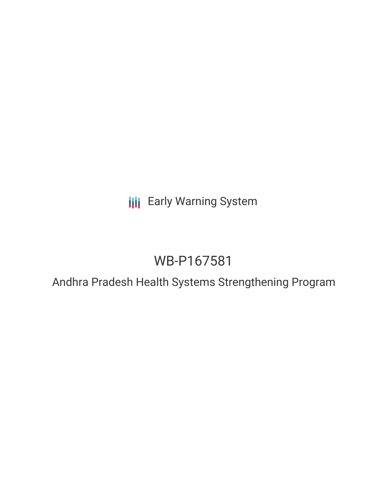**III** Early Warning System

# WB-P167581

Andhra Pradesh Health Systems Strengthening Program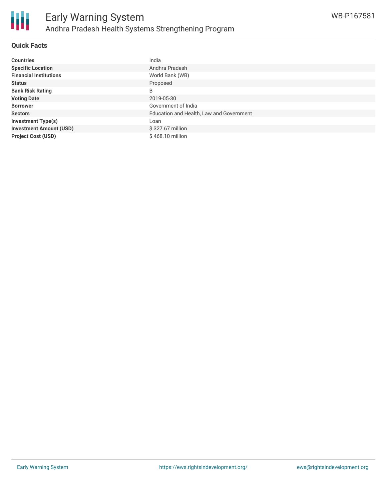

#### **Quick Facts**

| <b>Countries</b>               | India                                    |
|--------------------------------|------------------------------------------|
| <b>Specific Location</b>       | Andhra Pradesh                           |
| <b>Financial Institutions</b>  | World Bank (WB)                          |
| <b>Status</b>                  | Proposed                                 |
| <b>Bank Risk Rating</b>        | B                                        |
| <b>Voting Date</b>             | 2019-05-30                               |
| <b>Borrower</b>                | Government of India                      |
| <b>Sectors</b>                 | Education and Health, Law and Government |
| <b>Investment Type(s)</b>      | Loan                                     |
| <b>Investment Amount (USD)</b> | \$327.67 million                         |
| <b>Project Cost (USD)</b>      | \$468.10 million                         |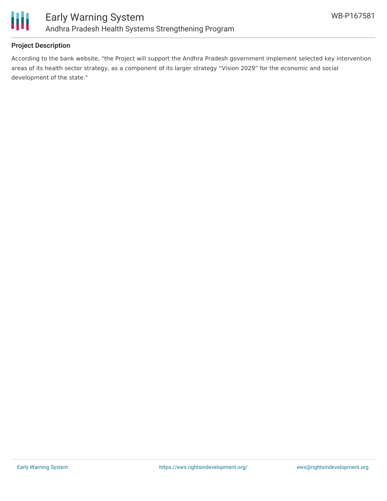

## **Project Description**

According to the bank website, "the Project will support the Andhra Pradesh government implement selected key intervention areas of its health sector strategy, as a component of its larger strategy "Vision 2029" for the economic and social development of the state."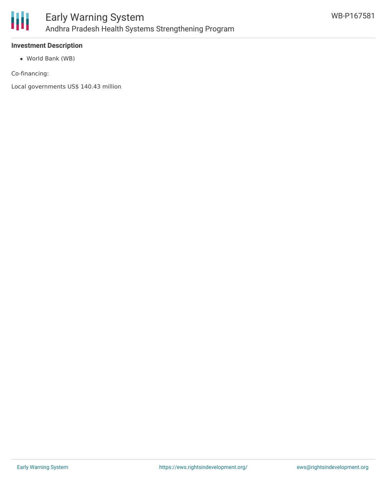

## **Investment Description**

World Bank (WB)

Co-financing:

Local governments US\$ 140.43 million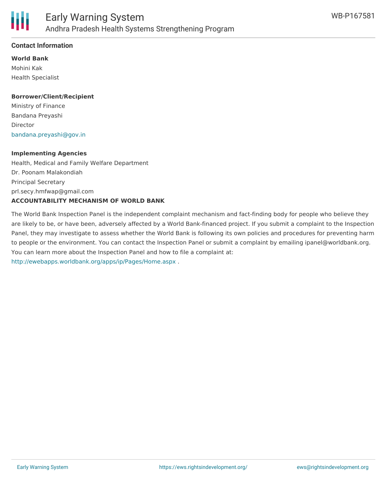

#### **Contact Information**

**World Bank** Mohini Kak Health Specialist

#### **Borrower/Client/Recipient**

Ministry of Finance Bandana Preyashi Director [bandana.preyashi@gov.in](mailto:bandana.preyashi@gov.in)

#### **Implementing Agencies**

Health, Medical and Family Welfare Department Dr. Poonam Malakondiah Principal Secretary prl.secy.hmfwap@gmail.com **ACCOUNTABILITY MECHANISM OF WORLD BANK**

The World Bank Inspection Panel is the independent complaint mechanism and fact-finding body for people who believe they are likely to be, or have been, adversely affected by a World Bank-financed project. If you submit a complaint to the Inspection Panel, they may investigate to assess whether the World Bank is following its own policies and procedures for preventing harm to people or the environment. You can contact the Inspection Panel or submit a complaint by emailing ipanel@worldbank.org. You can learn more about the Inspection Panel and how to file a complaint at: <http://ewebapps.worldbank.org/apps/ip/Pages/Home.aspx> .